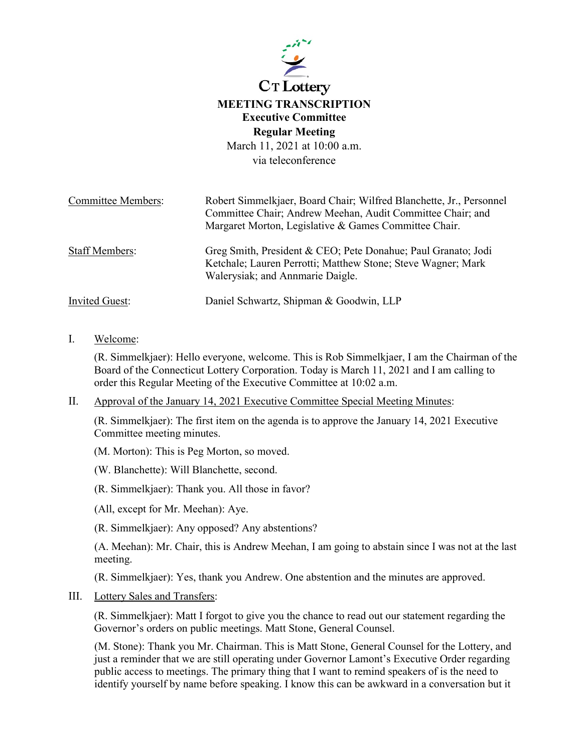

# **MEETING TRANSCRIPTION Executive Committee Regular Meeting**

March 11, 2021 at 10:00 a.m. via teleconference

| <b>Committee Members:</b> | Robert Simmelkjaer, Board Chair; Wilfred Blanchette, Jr., Personnel                                                                                               |
|---------------------------|-------------------------------------------------------------------------------------------------------------------------------------------------------------------|
|                           | Committee Chair; Andrew Meehan, Audit Committee Chair; and                                                                                                        |
|                           | Margaret Morton, Legislative & Games Committee Chair.                                                                                                             |
| <b>Staff Members:</b>     | Greg Smith, President & CEO; Pete Donahue; Paul Granato; Jodi<br>Ketchale; Lauren Perrotti; Matthew Stone; Steve Wagner; Mark<br>Walerysiak; and Annmarie Daigle. |
| <b>Invited Guest:</b>     | Daniel Schwartz, Shipman & Goodwin, LLP                                                                                                                           |

### I. Welcome:

(R. Simmelkjaer): Hello everyone, welcome. This is Rob Simmelkjaer, I am the Chairman of the Board of the Connecticut Lottery Corporation. Today is March 11, 2021 and I am calling to order this Regular Meeting of the Executive Committee at 10:02 a.m.

#### II. Approval of the January 14, 2021 Executive Committee Special Meeting Minutes:

(R. Simmelkjaer): The first item on the agenda is to approve the January 14, 2021 Executive Committee meeting minutes.

(M. Morton): This is Peg Morton, so moved.

(W. Blanchette): Will Blanchette, second.

(R. Simmelkjaer): Thank you. All those in favor?

(All, except for Mr. Meehan): Aye.

(R. Simmelkjaer): Any opposed? Any abstentions?

(A. Meehan): Mr. Chair, this is Andrew Meehan, I am going to abstain since I was not at the last meeting.

(R. Simmelkjaer): Yes, thank you Andrew. One abstention and the minutes are approved.

#### III. Lottery Sales and Transfers:

(R. Simmelkjaer): Matt I forgot to give you the chance to read out our statement regarding the Governor's orders on public meetings. Matt Stone, General Counsel.

(M. Stone): Thank you Mr. Chairman. This is Matt Stone, General Counsel for the Lottery, and just a reminder that we are still operating under Governor Lamont's Executive Order regarding public access to meetings. The primary thing that I want to remind speakers of is the need to identify yourself by name before speaking. I know this can be awkward in a conversation but it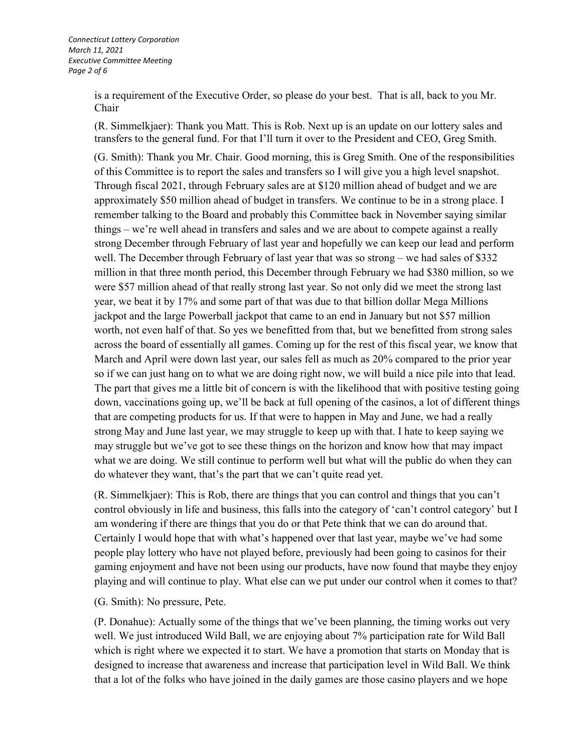is a requirement of the Executive Order, so please do your best. That is all, back to you Mr. Chair

(R. Simmelkjaer): Thank you Matt. This is Rob. Next up is an update on our lottery sales and transfers to the general fund. For that I'll turn it over to the President and CEO, Greg Smith.

(G. Smith): Thank you Mr. Chair. Good morning, this is Greg Smith. One of the responsibilities of this Committee is to report the sales and transfers so I will give you a high level snapshot. Through fiscal 2021, through February sales are at \$120 million ahead of budget and we are approximately \$50 million ahead of budget in transfers. We continue to be in a strong place. I remember talking to the Board and probably this Committee back in November saying similar things – we're well ahead in transfers and sales and we are about to compete against a really strong December through February of last year and hopefully we can keep our lead and perform well. The December through February of last year that was so strong – we had sales of \$332 million in that three month period, this December through February we had \$380 million, so we were \$57 million ahead of that really strong last year. So not only did we meet the strong last year, we beat it by 17% and some part of that was due to that billion dollar Mega Millions jackpot and the large Powerball jackpot that came to an end in January but not \$57 million worth, not even half of that. So yes we benefitted from that, but we benefitted from strong sales across the board of essentially all games. Coming up for the rest of this fiscal year, we know that March and April were down last year, our sales fell as much as 20% compared to the prior year so if we can just hang on to what we are doing right now, we will build a nice pile into that lead. The part that gives me a little bit of concern is with the likelihood that with positive testing going down, vaccinations going up, we'll be back at full opening of the casinos, a lot of different things that are competing products for us. If that were to happen in May and June, we had a really strong May and June last year, we may struggle to keep up with that. I hate to keep saying we may struggle but we've got to see these things on the horizon and know how that may impact what we are doing. We still continue to perform well but what will the public do when they can do whatever they want, that's the part that we can't quite read yet.

(R. Simmelkjaer): This is Rob, there are things that you can control and things that you can't control obviously in life and business, this falls into the category of 'can't control category' but I am wondering if there are things that you do or that Pete think that we can do around that. Certainly I would hope that with what's happened over that last year, maybe we've had some people play lottery who have not played before, previously had been going to casinos for their gaming enjoyment and have not been using our products, have now found that maybe they enjoy playing and will continue to play. What else can we put under our control when it comes to that?

(G. Smith): No pressure, Pete.

(P. Donahue): Actually some of the things that we've been planning, the timing works out very well. We just introduced Wild Ball, we are enjoying about 7% participation rate for Wild Ball which is right where we expected it to start. We have a promotion that starts on Monday that is designed to increase that awareness and increase that participation level in Wild Ball. We think that a lot of the folks who have joined in the daily games are those casino players and we hope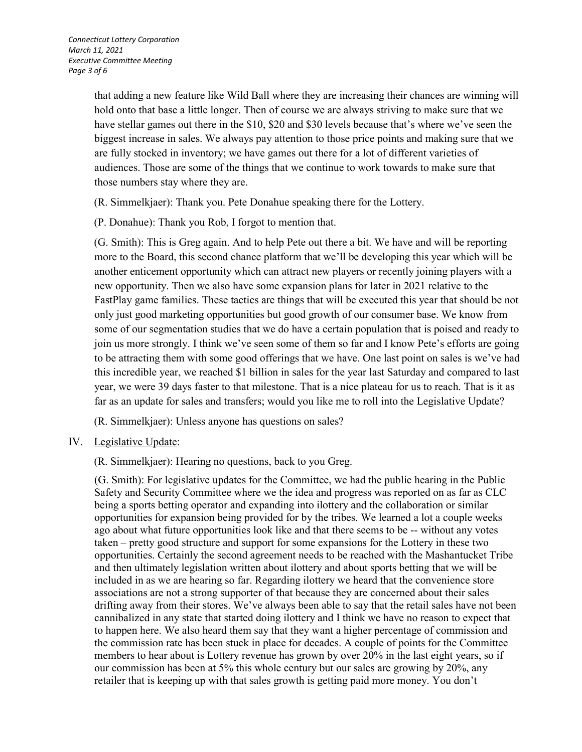that adding a new feature like Wild Ball where they are increasing their chances are winning will hold onto that base a little longer. Then of course we are always striving to make sure that we have stellar games out there in the \$10, \$20 and \$30 levels because that's where we've seen the biggest increase in sales. We always pay attention to those price points and making sure that we are fully stocked in inventory; we have games out there for a lot of different varieties of audiences. Those are some of the things that we continue to work towards to make sure that those numbers stay where they are.

(R. Simmelkjaer): Thank you. Pete Donahue speaking there for the Lottery.

(P. Donahue): Thank you Rob, I forgot to mention that.

(G. Smith): This is Greg again. And to help Pete out there a bit. We have and will be reporting more to the Board, this second chance platform that we'll be developing this year which will be another enticement opportunity which can attract new players or recently joining players with a new opportunity. Then we also have some expansion plans for later in 2021 relative to the FastPlay game families. These tactics are things that will be executed this year that should be not only just good marketing opportunities but good growth of our consumer base. We know from some of our segmentation studies that we do have a certain population that is poised and ready to join us more strongly. I think we've seen some of them so far and I know Pete's efforts are going to be attracting them with some good offerings that we have. One last point on sales is we've had this incredible year, we reached \$1 billion in sales for the year last Saturday and compared to last year, we were 39 days faster to that milestone. That is a nice plateau for us to reach. That is it as far as an update for sales and transfers; would you like me to roll into the Legislative Update?

(R. Simmelkjaer): Unless anyone has questions on sales?

## IV. Legislative Update:

(R. Simmelkjaer): Hearing no questions, back to you Greg.

(G. Smith): For legislative updates for the Committee, we had the public hearing in the Public Safety and Security Committee where we the idea and progress was reported on as far as CLC being a sports betting operator and expanding into ilottery and the collaboration or similar opportunities for expansion being provided for by the tribes. We learned a lot a couple weeks ago about what future opportunities look like and that there seems to be -- without any votes taken – pretty good structure and support for some expansions for the Lottery in these two opportunities. Certainly the second agreement needs to be reached with the Mashantucket Tribe and then ultimately legislation written about ilottery and about sports betting that we will be included in as we are hearing so far. Regarding ilottery we heard that the convenience store associations are not a strong supporter of that because they are concerned about their sales drifting away from their stores. We've always been able to say that the retail sales have not been cannibalized in any state that started doing ilottery and I think we have no reason to expect that to happen here. We also heard them say that they want a higher percentage of commission and the commission rate has been stuck in place for decades. A couple of points for the Committee members to hear about is Lottery revenue has grown by over 20% in the last eight years, so if our commission has been at 5% this whole century but our sales are growing by 20%, any retailer that is keeping up with that sales growth is getting paid more money. You don't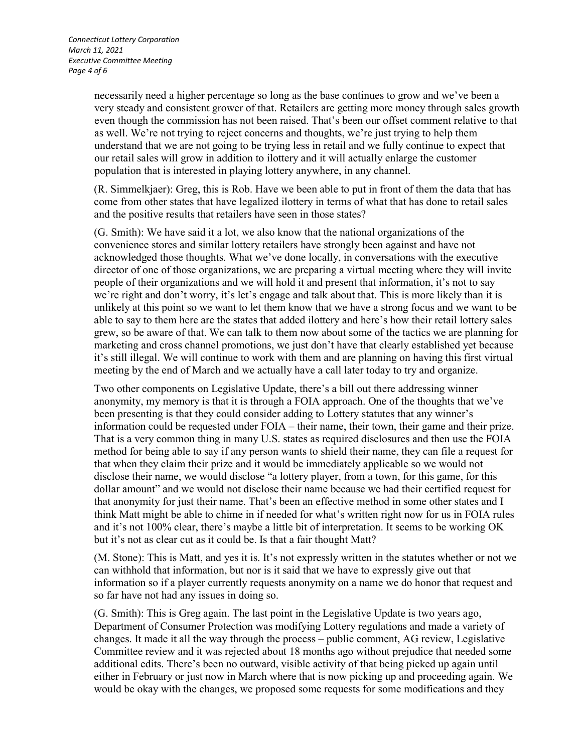necessarily need a higher percentage so long as the base continues to grow and we've been a very steady and consistent grower of that. Retailers are getting more money through sales growth even though the commission has not been raised. That's been our offset comment relative to that as well. We're not trying to reject concerns and thoughts, we're just trying to help them understand that we are not going to be trying less in retail and we fully continue to expect that our retail sales will grow in addition to ilottery and it will actually enlarge the customer population that is interested in playing lottery anywhere, in any channel.

(R. Simmelkjaer): Greg, this is Rob. Have we been able to put in front of them the data that has come from other states that have legalized ilottery in terms of what that has done to retail sales and the positive results that retailers have seen in those states?

(G. Smith): We have said it a lot, we also know that the national organizations of the convenience stores and similar lottery retailers have strongly been against and have not acknowledged those thoughts. What we've done locally, in conversations with the executive director of one of those organizations, we are preparing a virtual meeting where they will invite people of their organizations and we will hold it and present that information, it's not to say we're right and don't worry, it's let's engage and talk about that. This is more likely than it is unlikely at this point so we want to let them know that we have a strong focus and we want to be able to say to them here are the states that added ilottery and here's how their retail lottery sales grew, so be aware of that. We can talk to them now about some of the tactics we are planning for marketing and cross channel promotions, we just don't have that clearly established yet because it's still illegal. We will continue to work with them and are planning on having this first virtual meeting by the end of March and we actually have a call later today to try and organize.

Two other components on Legislative Update, there's a bill out there addressing winner anonymity, my memory is that it is through a FOIA approach. One of the thoughts that we've been presenting is that they could consider adding to Lottery statutes that any winner's information could be requested under FOIA – their name, their town, their game and their prize. That is a very common thing in many U.S. states as required disclosures and then use the FOIA method for being able to say if any person wants to shield their name, they can file a request for that when they claim their prize and it would be immediately applicable so we would not disclose their name, we would disclose "a lottery player, from a town, for this game, for this dollar amount" and we would not disclose their name because we had their certified request for that anonymity for just their name. That's been an effective method in some other states and I think Matt might be able to chime in if needed for what's written right now for us in FOIA rules and it's not 100% clear, there's maybe a little bit of interpretation. It seems to be working OK but it's not as clear cut as it could be. Is that a fair thought Matt?

(M. Stone): This is Matt, and yes it is. It's not expressly written in the statutes whether or not we can withhold that information, but nor is it said that we have to expressly give out that information so if a player currently requests anonymity on a name we do honor that request and so far have not had any issues in doing so.

(G. Smith): This is Greg again. The last point in the Legislative Update is two years ago, Department of Consumer Protection was modifying Lottery regulations and made a variety of changes. It made it all the way through the process – public comment, AG review, Legislative Committee review and it was rejected about 18 months ago without prejudice that needed some additional edits. There's been no outward, visible activity of that being picked up again until either in February or just now in March where that is now picking up and proceeding again. We would be okay with the changes, we proposed some requests for some modifications and they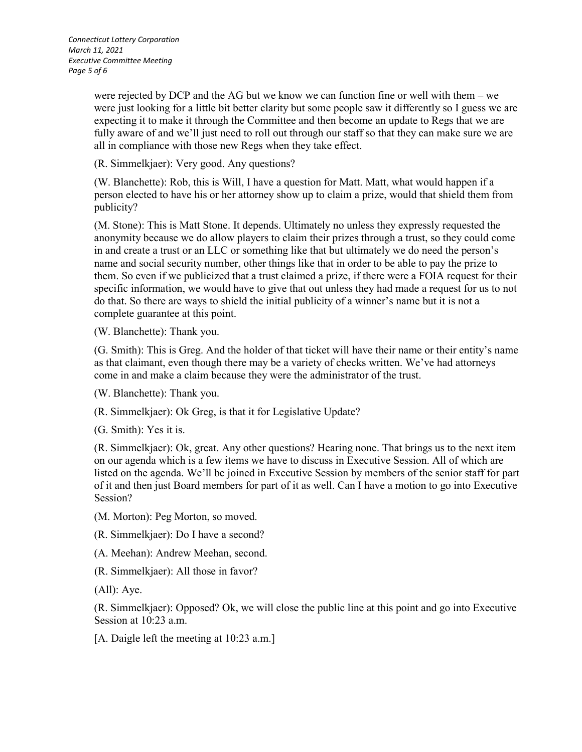*Connecticut Lottery Corporation March 11, 2021 Executive Committee Meeting Page 5 of 6*

> were rejected by DCP and the AG but we know we can function fine or well with them – we were just looking for a little bit better clarity but some people saw it differently so I guess we are expecting it to make it through the Committee and then become an update to Regs that we are fully aware of and we'll just need to roll out through our staff so that they can make sure we are all in compliance with those new Regs when they take effect.

(R. Simmelkjaer): Very good. Any questions?

(W. Blanchette): Rob, this is Will, I have a question for Matt. Matt, what would happen if a person elected to have his or her attorney show up to claim a prize, would that shield them from publicity?

(M. Stone): This is Matt Stone. It depends. Ultimately no unless they expressly requested the anonymity because we do allow players to claim their prizes through a trust, so they could come in and create a trust or an LLC or something like that but ultimately we do need the person's name and social security number, other things like that in order to be able to pay the prize to them. So even if we publicized that a trust claimed a prize, if there were a FOIA request for their specific information, we would have to give that out unless they had made a request for us to not do that. So there are ways to shield the initial publicity of a winner's name but it is not a complete guarantee at this point.

(W. Blanchette): Thank you.

(G. Smith): This is Greg. And the holder of that ticket will have their name or their entity's name as that claimant, even though there may be a variety of checks written. We've had attorneys come in and make a claim because they were the administrator of the trust.

(W. Blanchette): Thank you.

(R. Simmelkjaer): Ok Greg, is that it for Legislative Update?

(G. Smith): Yes it is.

(R. Simmelkjaer): Ok, great. Any other questions? Hearing none. That brings us to the next item on our agenda which is a few items we have to discuss in Executive Session. All of which are listed on the agenda. We'll be joined in Executive Session by members of the senior staff for part of it and then just Board members for part of it as well. Can I have a motion to go into Executive Session?

(M. Morton): Peg Morton, so moved.

(R. Simmelkjaer): Do I have a second?

(A. Meehan): Andrew Meehan, second.

(R. Simmelkjaer): All those in favor?

(All): Aye.

(R. Simmelkjaer): Opposed? Ok, we will close the public line at this point and go into Executive Session at 10:23 a.m.

[A. Daigle left the meeting at 10:23 a.m.]